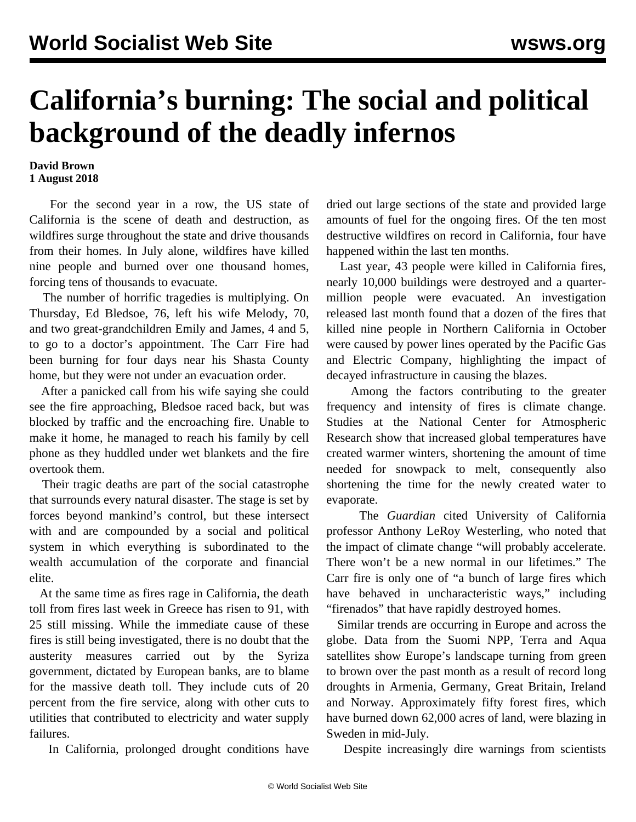## **California's burning: The social and political background of the deadly infernos**

## **David Brown 1 August 2018**

 For the second year in a row, the US state of California is the scene of death and destruction, as wildfires surge throughout the state and drive thousands from their homes. In July alone, wildfires have killed nine people and burned over one thousand homes, forcing tens of thousands to evacuate.

 The number of horrific tragedies is multiplying. On Thursday, Ed Bledsoe, 76, left his wife Melody, 70, and two great-grandchildren Emily and James, 4 and 5, to go to a doctor's appointment. The Carr Fire had been burning for four days near his Shasta County home, but they were not under an evacuation order.

 After a panicked call from his wife saying she could see the fire approaching, Bledsoe raced back, but was blocked by traffic and the encroaching fire. Unable to make it home, he managed to reach his family by cell phone as they huddled under wet blankets and the fire overtook them.

 Their tragic deaths are part of the social catastrophe that surrounds every natural disaster. The stage is set by forces beyond mankind's control, but these intersect with and are compounded by a social and political system in which everything is subordinated to the wealth accumulation of the corporate and financial elite.

 At the same time as fires rage in California, the death toll from fires last week in Greece has risen to 91, with 25 still missing. While the immediate cause of these fires is still being investigated, there is no doubt that the austerity measures carried out by the Syriza government, dictated by European banks, are to blame for the massive death toll. They include cuts of 20 percent from the fire service, along with other cuts to utilities that contributed to electricity and water supply failures.

In California, prolonged drought conditions have

dried out large sections of the state and provided large amounts of fuel for the ongoing fires. Of the ten most destructive wildfires on record in California, four have happened within the last ten months.

 Last year, 43 people were killed in California fires, nearly 10,000 buildings were destroyed and a quartermillion people were evacuated. An investigation released last month found that a dozen of the fires that killed nine people in Northern California in October were caused by power lines operated by the Pacific Gas and Electric Company, highlighting the impact of decayed infrastructure in causing the blazes.

 Among the factors contributing to the greater frequency and intensity of fires is climate change. Studies at the National Center for Atmospheric Research show that increased global temperatures have created warmer winters, shortening the amount of time needed for snowpack to melt, consequently also shortening the time for the newly created water to evaporate.

 The *Guardian* cited University of California professor Anthony LeRoy Westerling, who noted that the impact of climate change "will probably accelerate. There won't be a new normal in our lifetimes." The Carr fire is only one of "a bunch of large fires which have behaved in uncharacteristic ways," including "firenados" that have rapidly destroyed homes.

 Similar trends are occurring in Europe and across the globe. Data from the Suomi NPP, Terra and Aqua satellites show Europe's landscape turning from green to brown over the past month as a result of record long droughts in Armenia, Germany, Great Britain, Ireland and Norway. Approximately fifty forest fires, which have burned down 62,000 acres of land, were blazing in Sweden in mid-July.

Despite increasingly dire warnings from scientists